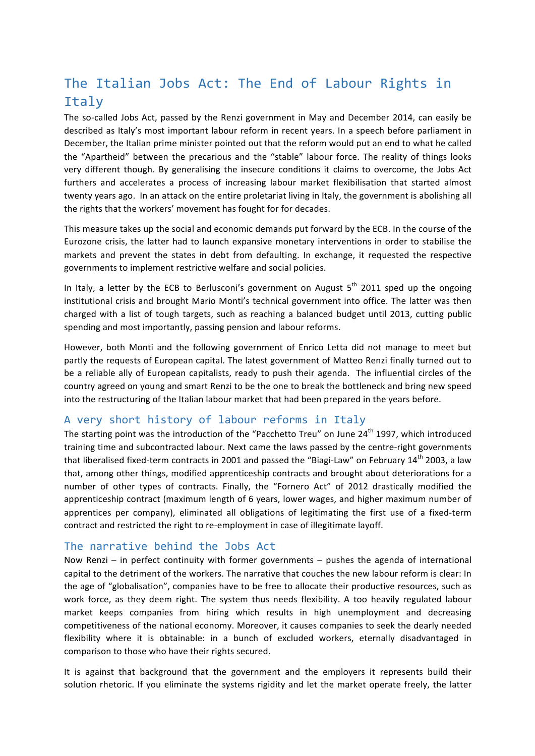# The Italian Jobs Act: The End of Labour Rights in Italy

The so-called Jobs Act, passed by the Renzi government in May and December 2014, can easily be described as Italy's most important labour reform in recent years. In a speech before parliament in December, the Italian prime minister pointed out that the reform would put an end to what he called the "Apartheid" between the precarious and the "stable" labour force. The reality of things looks very different though. By generalising the insecure conditions it claims to overcome, the Jobs Act furthers and accelerates a process of increasing labour market flexibilisation that started almost twenty years ago. In an attack on the entire proletariat living in Italy, the government is abolishing all the rights that the workers' movement has fought for for decades.

This measure takes up the social and economic demands put forward by the ECB. In the course of the Eurozone crisis, the latter had to launch expansive monetary interventions in order to stabilise the markets and prevent the states in debt from defaulting. In exchange, it requested the respective governments to implement restrictive welfare and social policies.

In Italy, a letter by the ECB to Berlusconi's government on August  $5<sup>th</sup>$  2011 sped up the ongoing institutional crisis and brought Mario Monti's technical government into office. The latter was then charged with a list of tough targets, such as reaching a balanced budget until 2013, cutting public spending and most importantly, passing pension and labour reforms.

However, both Monti and the following government of Enrico Letta did not manage to meet but partly the requests of European capital. The latest government of Matteo Renzi finally turned out to be a reliable ally of European capitalists, ready to push their agenda. The influential circles of the country agreed on young and smart Renzi to be the one to break the bottleneck and bring new speed into the restructuring of the Italian labour market that had been prepared in the years before.

# A very short history of labour reforms in Italy

The starting point was the introduction of the "Pacchetto Treu" on June  $24<sup>th</sup>$  1997, which introduced training time and subcontracted labour. Next came the laws passed by the centre-right governments that liberalised fixed-term contracts in 2001 and passed the "Biagi-Law" on February  $14<sup>th</sup>$  2003, a law that, among other things, modified apprenticeship contracts and brought about deteriorations for a number of other types of contracts. Finally, the "Fornero Act" of 2012 drastically modified the apprenticeship contract (maximum length of 6 years, lower wages, and higher maximum number of apprentices per company), eliminated all obligations of legitimating the first use of a fixed-term contract and restricted the right to re-employment in case of illegitimate layoff.

# The narrative behind the Jobs Act

Now Renzi – in perfect continuity with former governments  $-$  pushes the agenda of international capital to the detriment of the workers. The narrative that couches the new labour reform is clear: In the age of "globalisation", companies have to be free to allocate their productive resources, such as work force, as they deem right. The system thus needs flexibility. A too heavily regulated labour market keeps companies from hiring which results in high unemployment and decreasing competitiveness of the national economy. Moreover, it causes companies to seek the dearly needed flexibility where it is obtainable: in a bunch of excluded workers, eternally disadvantaged in comparison to those who have their rights secured.

It is against that background that the government and the employers it represents build their solution rhetoric. If you eliminate the systems rigidity and let the market operate freely, the latter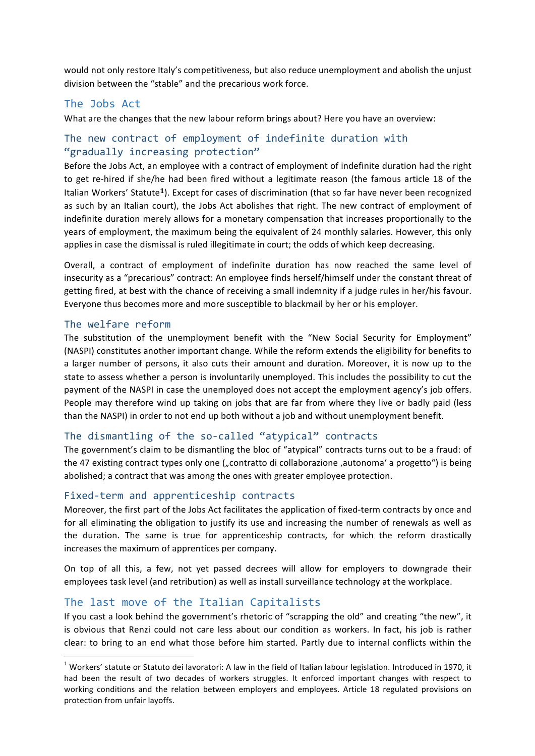would not only restore Italy's competitiveness, but also reduce unemployment and abolish the unjust division between the "stable" and the precarious work force.

## The Jobs Act

What are the changes that the new labour reform brings about? Here you have an overview:

# The new contract of employment of indefinite duration with "gradually increasing protection"

Before the Jobs Act, an employee with a contract of employment of indefinite duration had the right to get re-hired if she/he had been fired without a legitimate reason (the famous article 18 of the Italian Workers' Statute<sup>1</sup>). Except for cases of discrimination (that so far have never been recognized as such by an Italian court), the Jobs Act abolishes that right. The new contract of employment of indefinite duration merely allows for a monetary compensation that increases proportionally to the years of employment, the maximum being the equivalent of 24 monthly salaries. However, this only applies in case the dismissal is ruled illegitimate in court; the odds of which keep decreasing.

Overall, a contract of employment of indefinite duration has now reached the same level of insecurity as a "precarious" contract: An employee finds herself/himself under the constant threat of getting fired, at best with the chance of receiving a small indemnity if a judge rules in her/his favour. Everyone thus becomes more and more susceptible to blackmail by her or his employer.

#### The welfare reform

The substitution of the unemployment benefit with the "New Social Security for Employment" (NASPI) constitutes another important change. While the reform extends the eligibility for benefits to a larger number of persons, it also cuts their amount and duration. Moreover, it is now up to the state to assess whether a person is involuntarily unemployed. This includes the possibility to cut the payment of the NASPI in case the unemployed does not accept the employment agency's job offers. People may therefore wind up taking on jobs that are far from where they live or badly paid (less than the NASPI) in order to not end up both without a job and without unemployment benefit.

#### The dismantling of the so-called "atypical" contracts

The government's claim to be dismantling the bloc of "atypical" contracts turns out to be a fraud: of the 47 existing contract types only one ("contratto di collaborazione ,autonoma' a progetto") is being abolished; a contract that was among the ones with greater employee protection.

#### Fixed-term and apprenticeship contracts

Moreover, the first part of the Jobs Act facilitates the application of fixed-term contracts by once and for all eliminating the obligation to justify its use and increasing the number of renewals as well as the duration. The same is true for apprenticeship contracts, for which the reform drastically increases the maximum of apprentices per company.

On top of all this, a few, not yet passed decrees will allow for employers to downgrade their employees task level (and retribution) as well as install surveillance technology at the workplace.

#### The last move of the Italian Capitalists

 

If you cast a look behind the government's rhetoric of "scrapping the old" and creating "the new", it is obvious that Renzi could not care less about our condition as workers. In fact, his job is rather clear: to bring to an end what those before him started. Partly due to internal conflicts within the

 $1$  Workers' statute or Statuto dei lavoratori: A law in the field of Italian labour legislation. Introduced in 1970, it had been the result of two decades of workers struggles. It enforced important changes with respect to working conditions and the relation between employers and employees. Article 18 regulated provisions on protection from unfair layoffs.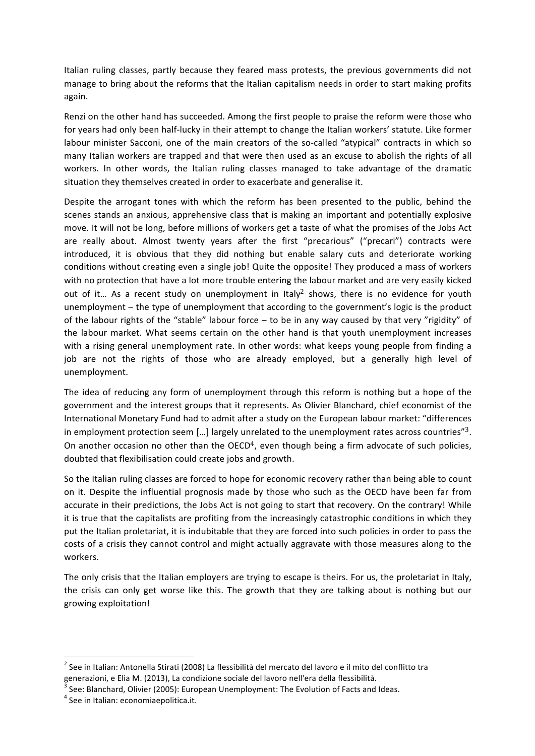Italian ruling classes, partly because they feared mass protests, the previous governments did not manage to bring about the reforms that the Italian capitalism needs in order to start making profits again. 

Renzi on the other hand has succeeded. Among the first people to praise the reform were those who for years had only been half-lucky in their attempt to change the Italian workers' statute. Like former labour minister Sacconi, one of the main creators of the so-called "atypical" contracts in which so many Italian workers are trapped and that were then used as an excuse to abolish the rights of all workers. In other words, the Italian ruling classes managed to take advantage of the dramatic situation they themselves created in order to exacerbate and generalise it.

Despite the arrogant tones with which the reform has been presented to the public, behind the scenes stands an anxious, apprehensive class that is making an important and potentially explosive move. It will not be long, before millions of workers get a taste of what the promises of the Jobs Act are really about. Almost twenty years after the first "precarious" ("precari") contracts were introduced, it is obvious that they did nothing but enable salary cuts and deteriorate working conditions without creating even a single  $job!$  Quite the opposite! They produced a mass of workers with no protection that have a lot more trouble entering the labour market and are very easily kicked out of it... As a recent study on unemployment in Italy<sup>2</sup> shows, there is no evidence for youth unemployment  $-$  the type of unemployment that according to the government's logic is the product of the labour rights of the "stable" labour force  $-$  to be in any way caused by that very "rigidity" of the labour market. What seems certain on the other hand is that youth unemployment increases with a rising general unemployment rate. In other words: what keeps young people from finding a job are not the rights of those who are already employed, but a generally high level of unemployment. 

The idea of reducing any form of unemployment through this reform is nothing but a hope of the government and the interest groups that it represents. As Olivier Blanchard, chief economist of the International Monetary Fund had to admit after a study on the European labour market: "differences in employment protection seem [...] largely unrelated to the unemployment rates across countries" $3$ . On another occasion no other than the OECD<sup>4</sup>, even though being a firm advocate of such policies, doubted that flexibilisation could create jobs and growth.

So the Italian ruling classes are forced to hope for economic recovery rather than being able to count on it. Despite the influential prognosis made by those who such as the OECD have been far from accurate in their predictions, the Jobs Act is not going to start that recovery. On the contrary! While it is true that the capitalists are profiting from the increasingly catastrophic conditions in which they put the Italian proletariat, it is indubitable that they are forced into such policies in order to pass the costs of a crisis they cannot control and might actually aggravate with those measures along to the workers.

The only crisis that the Italian employers are trying to escape is theirs. For us, the proletariat in Italy, the crisis can only get worse like this. The growth that they are talking about is nothing but our growing exploitation!

 

<sup>&</sup>lt;sup>2</sup> See in Italian: Antonella Stirati (2008) La flessibilità del mercato del lavoro e il mito del conflitto tra<br>generazioni, e Elia M. (2013), La condizione sociale del lavoro nell'era della flessibilità.

<sup>&</sup>lt;sup>3</sup> See: Blanchard, Olivier (2005): European Unemployment: The Evolution of Facts and Ideas.<br><sup>4</sup> See in Italian: economiaepolitica.it.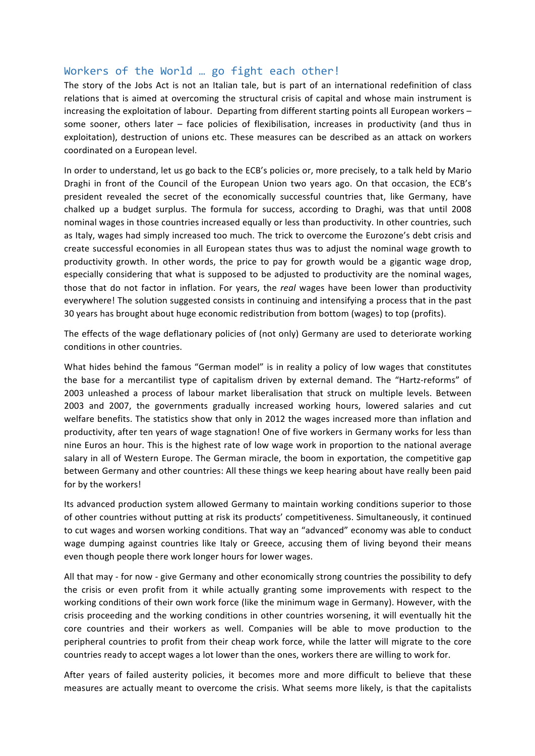### Workers of the World ... go fight each other!

The story of the Jobs Act is not an Italian tale, but is part of an international redefinition of class relations that is aimed at overcoming the structural crisis of capital and whose main instrument is increasing the exploitation of labour. Departing from different starting points all European workers  $$ some sooner, others later  $-$  face policies of flexibilisation, increases in productivity (and thus in exploitation), destruction of unions etc. These measures can be described as an attack on workers coordinated on a European level.

In order to understand, let us go back to the ECB's policies or, more precisely, to a talk held by Mario Draghi in front of the Council of the European Union two vears ago. On that occasion, the ECB's president revealed the secret of the economically successful countries that, like Germany, have chalked up a budget surplus. The formula for success, according to Draghi, was that until 2008 nominal wages in those countries increased equally or less than productivity. In other countries, such as Italy, wages had simply increased too much. The trick to overcome the Eurozone's debt crisis and create successful economies in all European states thus was to adjust the nominal wage growth to productivity growth. In other words, the price to pay for growth would be a gigantic wage drop, especially considering that what is supposed to be adjusted to productivity are the nominal wages, those that do not factor in inflation. For years, the *real* wages have been lower than productivity everywhere! The solution suggested consists in continuing and intensifying a process that in the past 30 years has brought about huge economic redistribution from bottom (wages) to top (profits).

The effects of the wage deflationary policies of (not only) Germany are used to deteriorate working conditions in other countries.

What hides behind the famous "German model" is in reality a policy of low wages that constitutes the base for a mercantilist type of capitalism driven by external demand. The "Hartz-reforms" of 2003 unleashed a process of labour market liberalisation that struck on multiple levels. Between 2003 and 2007, the governments gradually increased working hours, lowered salaries and cut welfare benefits. The statistics show that only in 2012 the wages increased more than inflation and productivity, after ten years of wage stagnation! One of five workers in Germany works for less than nine Euros an hour. This is the highest rate of low wage work in proportion to the national average salary in all of Western Europe. The German miracle, the boom in exportation, the competitive gap between Germany and other countries: All these things we keep hearing about have really been paid for by the workers!

Its advanced production system allowed Germany to maintain working conditions superior to those of other countries without putting at risk its products' competitiveness. Simultaneously, it continued to cut wages and worsen working conditions. That way an "advanced" economy was able to conduct wage dumping against countries like Italy or Greece, accusing them of living beyond their means even though people there work longer hours for lower wages.

All that may - for now - give Germany and other economically strong countries the possibility to defy the crisis or even profit from it while actually granting some improvements with respect to the working conditions of their own work force (like the minimum wage in Germany). However, with the crisis proceeding and the working conditions in other countries worsening, it will eventually hit the core countries and their workers as well. Companies will be able to move production to the peripheral countries to profit from their cheap work force, while the latter will migrate to the core countries ready to accept wages a lot lower than the ones, workers there are willing to work for.

After years of failed austerity policies, it becomes more and more difficult to believe that these measures are actually meant to overcome the crisis. What seems more likely, is that the capitalists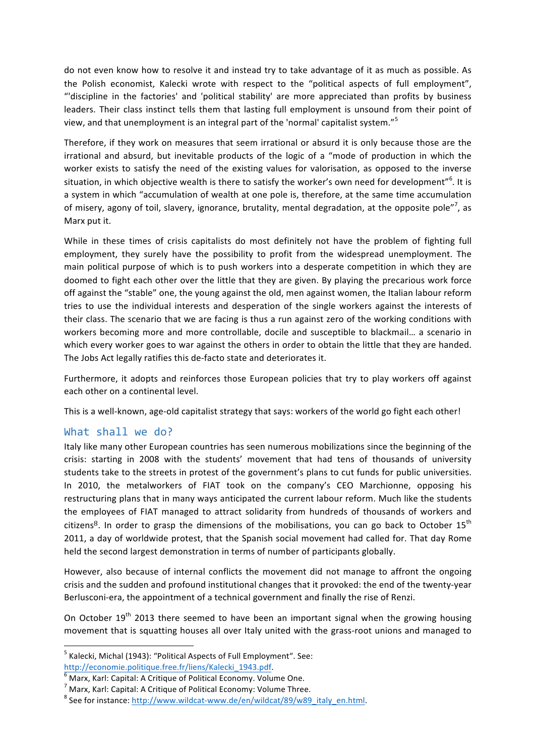do not even know how to resolve it and instead try to take advantage of it as much as possible. As the Polish economist, Kalecki wrote with respect to the "political aspects of full employment", "'discipline in the factories' and 'political stability' are more appreciated than profits by business leaders. Their class instinct tells them that lasting full employment is unsound from their point of view, and that unemployment is an integral part of the 'normal' capitalist system."<sup>5</sup>

Therefore, if they work on measures that seem irrational or absurd it is only because those are the irrational and absurd, but inevitable products of the logic of a "mode of production in which the worker exists to satisfy the need of the existing values for valorisation, as opposed to the inverse situation, in which objective wealth is there to satisfy the worker's own need for development"<sup>6</sup>. It is a system in which "accumulation of wealth at one pole is, therefore, at the same time accumulation of misery, agony of toil, slavery, ignorance, brutality, mental degradation, at the opposite pole"<sup>7</sup>, as Marx put it.

While in these times of crisis capitalists do most definitely not have the problem of fighting full employment, they surely have the possibility to profit from the widespread unemployment. The main political purpose of which is to push workers into a desperate competition in which they are doomed to fight each other over the little that they are given. By playing the precarious work force off against the "stable" one, the young against the old, men against women, the Italian labour reform tries to use the individual interests and desperation of the single workers against the interests of their class. The scenario that we are facing is thus a run against zero of the working conditions with workers becoming more and more controllable, docile and susceptible to blackmail... a scenario in which every worker goes to war against the others in order to obtain the little that they are handed. The Jobs Act legally ratifies this de-facto state and deteriorates it.

Furthermore, it adopts and reinforces those European policies that try to play workers off against each other on a continental level.

This is a well-known, age-old capitalist strategy that says: workers of the world go fight each other!

# What shall we do?

<u> 1989 - Johann Stein, marwolaethau a bh</u>

Italy like many other European countries has seen numerous mobilizations since the beginning of the crisis: starting in 2008 with the students' movement that had tens of thousands of university students take to the streets in protest of the government's plans to cut funds for public universities. In 2010, the metalworkers of FIAT took on the company's CEO Marchionne, opposing his restructuring plans that in many ways anticipated the current labour reform. Much like the students the employees of FIAT managed to attract solidarity from hundreds of thousands of workers and citizens<sup>8</sup>. In order to grasp the dimensions of the mobilisations, you can go back to October 15<sup>th</sup> 2011, a day of worldwide protest, that the Spanish social movement had called for. That day Rome held the second largest demonstration in terms of number of participants globally.

However, also because of internal conflicts the movement did not manage to affront the ongoing crisis and the sudden and profound institutional changes that it provoked: the end of the twenty-year Berlusconi-era, the appointment of a technical government and finally the rise of Renzi.

On October  $19<sup>th</sup>$  2013 there seemed to have been an important signal when the growing housing movement that is squatting houses all over Italy united with the grass-root unions and managed to

 $<sup>5</sup>$  Kalecki, Michal (1943): "Political Aspects of Full Employment". See:</sup>

http://economie.politique.free.fr/liens/Kalecki\_1943.pdf.<br>
<sup>6</sup> Marx, Karl: Capital: A Critique of Political Economy. Volume One.<br>
<sup>7</sup> Marx, Karl: Capital: A Critique of Political Economy: Volume Three.<br>
<sup>8</sup> See for instanc